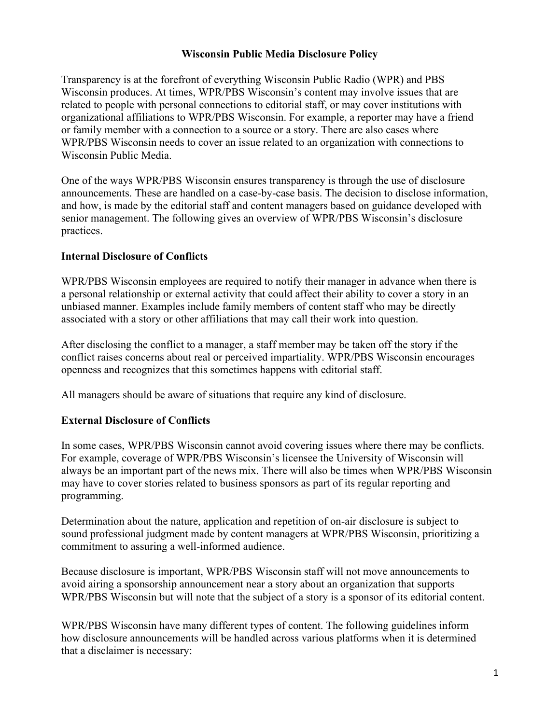## **Wisconsin Public Media Disclosure Policy**

Transparency is at the forefront of everything Wisconsin Public Radio (WPR) and PBS Wisconsin produces. At times, WPR/PBS Wisconsin's content may involve issues that are related to people with personal connections to editorial staff, or may cover institutions with organizational affiliations to WPR/PBS Wisconsin. For example, a reporter may have a friend or family member with a connection to a source or a story. There are also cases where WPR/PBS Wisconsin needs to cover an issue related to an organization with connections to Wisconsin Public Media.

One of the ways WPR/PBS Wisconsin ensures transparency is through the use of disclosure announcements. These are handled on a case-by-case basis. The decision to disclose information, and how, is made by the editorial staff and content managers based on guidance developed with senior management. The following gives an overview of WPR/PBS Wisconsin's disclosure practices.

## **Internal Disclosure of Conflicts**

WPR/PBS Wisconsin employees are required to notify their manager in advance when there is a personal relationship or external activity that could affect their ability to cover a story in an unbiased manner. Examples include family members of content staff who may be directly associated with a story or other affiliations that may call their work into question.

After disclosing the conflict to a manager, a staff member may be taken off the story if the conflict raises concerns about real or perceived impartiality. WPR/PBS Wisconsin encourages openness and recognizes that this sometimes happens with editorial staff.

All managers should be aware of situations that require any kind of disclosure.

## **External Disclosure of Conflicts**

In some cases, WPR/PBS Wisconsin cannot avoid covering issues where there may be conflicts. For example, coverage of WPR/PBS Wisconsin's licensee the University of Wisconsin will always be an important part of the news mix. There will also be times when WPR/PBS Wisconsin may have to cover stories related to business sponsors as part of its regular reporting and programming.

Determination about the nature, application and repetition of on-air disclosure is subject to sound professional judgment made by content managers at WPR/PBS Wisconsin, prioritizing a commitment to assuring a well-informed audience.

Because disclosure is important, WPR/PBS Wisconsin staff will not move announcements to avoid airing a sponsorship announcement near a story about an organization that supports WPR/PBS Wisconsin but will note that the subject of a story is a sponsor of its editorial content.

WPR/PBS Wisconsin have many different types of content. The following guidelines inform how disclosure announcements will be handled across various platforms when it is determined that a disclaimer is necessary: